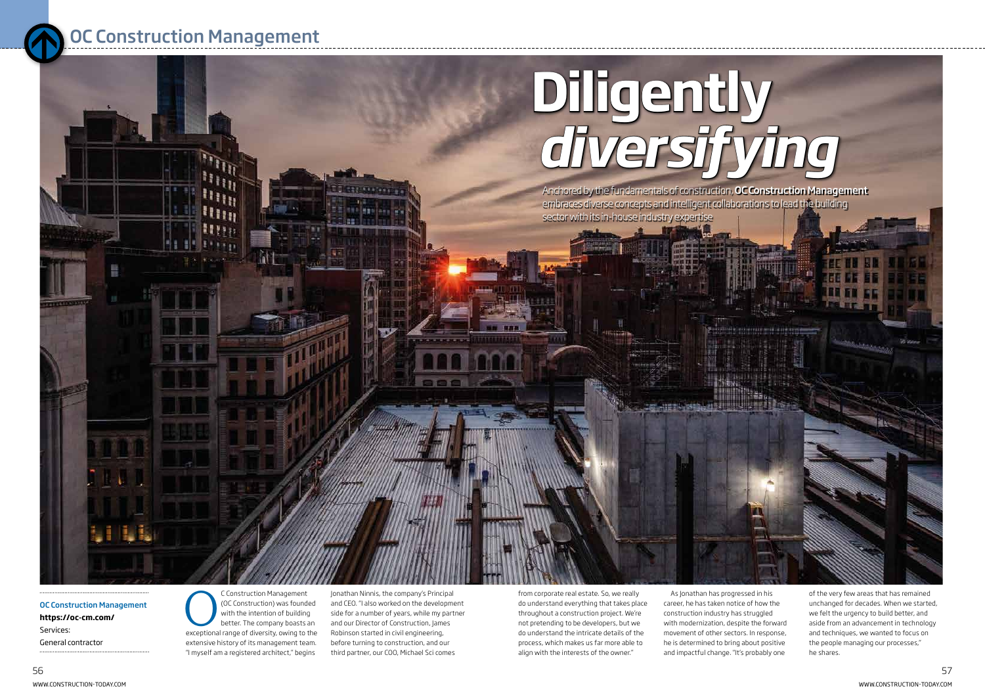from corporate real estate. So, we really do understand everything that takes place throughout a construction project. We're not pretending to be developers, but we do understand the intricate details of the process, which makes us far more able to align with the interests of the owner."

As Jonathan has progressed in his career, he has taken notice of how the construction industry has struggled with modernization, despite the forward movement of other sectors. In response, he is determined to bring about positive and impactful change. "It's probably one

C Construction Management<br>
(OC Construction) was founded<br>
with the intention of building<br>
better. The company boasts an<br>
exceptional range of diversity, owing to the (OC Construction) was founded with the intention of building better. The company boasts an extensive history of its management team. "I myself am a registered architect," begins

OC Construction Management **https://oc-cm.com/**  Services: General contractor

Jonathan Ninnis, the company's Principal and CEO. "I also worked on the development side for a number of years, while my partner and our Director of Construction, James Robinson started in civil engineering, before turning to construction, and our third partner, our COO, Michael Sci comes

**SEX COLUMN** 

of the very few areas that has remained unchanged for decades. When we started, we felt the urgency to build better, and aside from an advancement in technology and techniques, we wanted to focus on the people managing our processes," he shares.

# **Diligently** *[diversifying](https://construction-today.com/profiles/oc-construction-management/)*

Anchored by the fundamentals of construction, OC Construction Management embraces diverse concepts and intelligent collaborations to lead the building sector with its in-house industry expertise



## OC Construction Management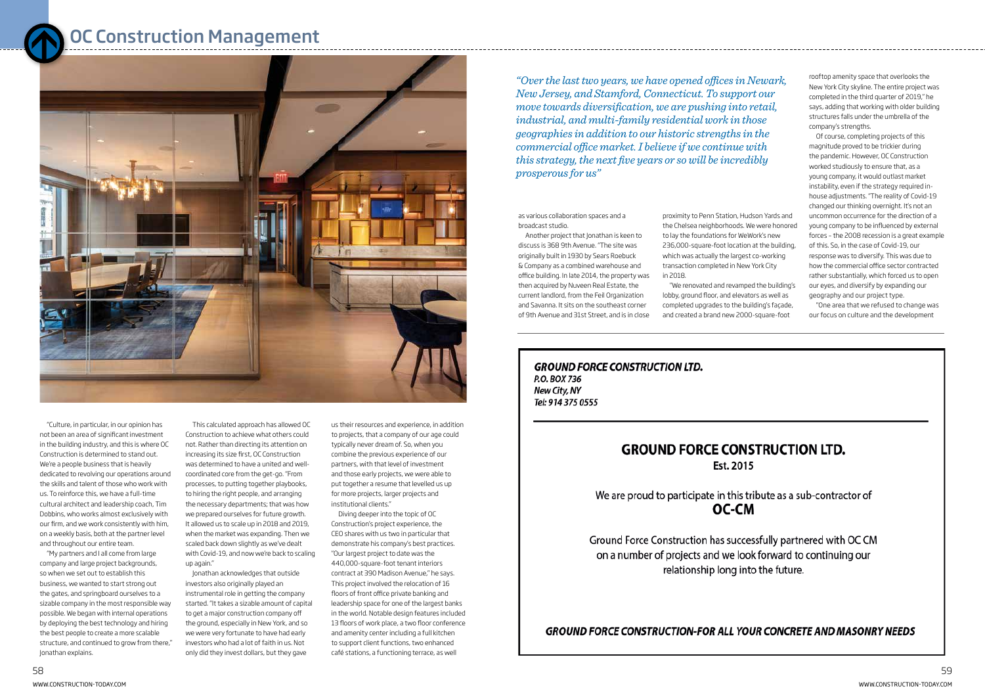This calculated approach has allowed OC Construction to achieve what others could not. Rather than directing its attention on increasing its size first, OC Construction was determined to have a united and wellcoordinated core from the get-go. "From processes, to putting together playbooks, to hiring the right people, and arranging the necessary departments; that was how we prepared ourselves for future growth. It allowed us to scale up in 2018 and 2019, when the market was expanding. Then we scaled back down slightly as we've dealt with Covid-19, and now we're back to scaling up again."

Jonathan acknowledges that outside investors also originally played an instrumental role in getting the company started. "It takes a sizable amount of capital to get a major construction company off the ground, especially in New York, and so we were very fortunate to have had early investors who had a lot of faith in us. Not only did they invest dollars, but they gave

"Culture, in particular, in our opinion has not been an area of significant investment in the building industry, and this is where OC Construction is determined to stand out. We're a people business that is heavily dedicated to revolving our operations around the skills and talent of those who work with us. To reinforce this, we have a full-time cultural architect and leadership coach, Tim Dobbins, who works almost exclusively with our firm, and we work consistently with him, on a weekly basis, both at the partner level and throughout our entire team.

"My partners and I all come from large company and large project backgrounds, so when we set out to establish this business, we wanted to start strong out the gates, and springboard ourselves to a sizable company in the most responsible way possible. We began with internal operations by deploying the best technology and hiring the best people to create a more scalable structure, and continued to grow from there," Jonathan explains.

us their resources and experience, in addition to projects, that a company of our age could typically never dream of. So, when you combine the previous experience of our partners, with that level of investment and those early projects, we were able to put together a resume that levelled us up for more projects, larger projects and institutional clients."

Diving deeper into the topic of OC Construction's project experience, the CEO shares with us two in particular that demonstrate his company's best practices. "Our largest project to date was the 440,000-square-foot tenant interiors contract at 390 Madison Avenue," he says. This project involved the relocation of 16 floors of front office private banking and leadership space for one of the largest banks in the world. Notable design features included 13 floors of work place, a two floor conference and amenity center including a full kitchen to support client functions, two enhanced café stations, a functioning terrace, as well

### OC Construction Management



as various collaboration spaces and a broadcast studio.

Another project that Jonathan is keen to discuss is 368 9th Avenue. "The site was originally built in 1930 by Sears Roebuck & Company as a combined warehouse and office building. In late 2014, the property was then acquired by Nuveen Real Estate, the current landlord, from the Feil Organization and Savanna. It sits on the southeast corner of 9th Avenue and 31st Street, and is in close

proximity to Penn Station, Hudson Yards and the Chelsea neighborhoods. We were honored to lay the foundations for WeWork's new 236,000-square-foot location at the building, which was actually the largest co-working transaction completed in New York City in 2018.

"We renovated and revamped the building's lobby, ground floor, and elevators as well as completed upgrades to the building's façade, and created a brand new 2000-square-foot

**GROUND FORCE CONSTRUCTION LTD.** P.O. BOX 736 New City, NY Tel: 914 375 0555

#### **GROUND FORCE CONSTRUCTION LTD.** Est. 2015

We are proud to participate in this tribute as a sub-contractor of OC-CM

Ground Force Construction has successfully partnered with OC CM on a number of projects and we look forward to continuing our relationship long into the future.

**GROUND FORCE CONSTRUCTION-FOR ALL YOUR CONCRETE AND MASONRY NEEDS** 

rooftop amenity space that overlooks the New York City skyline. The entire project was completed in the third quarter of 2019," he says, adding that working with older building structures falls under the umbrella of the company's strengths.

Of course, completing projects of this magnitude proved to be trickier during the pandemic. However, OC Construction worked studiously to ensure that, as a young company, it would outlast market instability, even if the strategy required inhouse adjustments. "The reality of Covid-19 changed our thinking overnight. It's not an uncommon occurrence for the direction of a young company to be influenced by external forces – the 2008 recession is a great example of this. So, in the case of Covid-19, our response was to diversify. This was due to how the commercial office sector contracted rather substantially, which forced us to open our eyes, and diversify by expanding our geography and our project type.

"One area that we refused to change was our focus on culture and the development

*"Over the last two years, we have opened offices in Newark, New Jersey, and Stamford, Connecticut. To support our move towards diversification, we are pushing into retail, industrial, and multi-family residential work in those geographies in addition to our historic strengths in the commercial office market. I believe if we continue with this strategy, the next five years or so will be incredibly prosperous for us"*